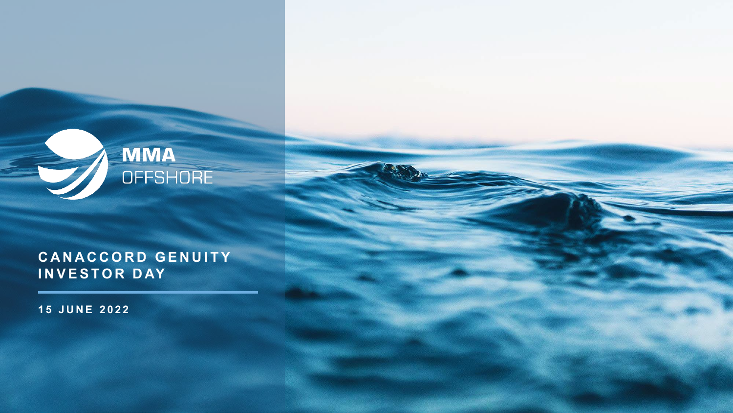

### **CANACCORD GENUITY INVESTOR DAY**

**15 JUNE 2022**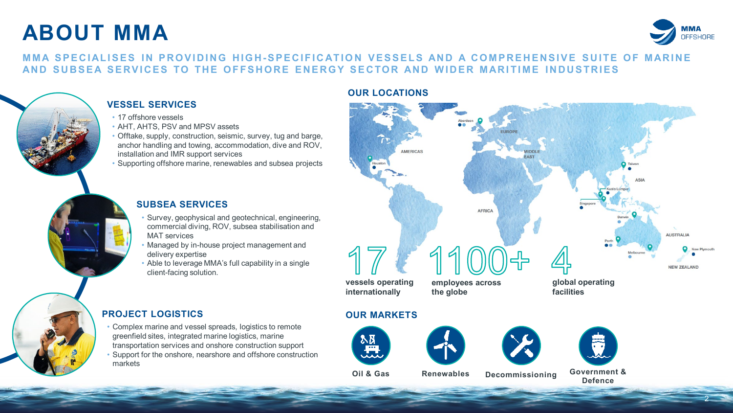# **ABOUT MMA**



2

#### **MMA SPECIALISES IN PROVIDING HIGH-SPECIFICATION VESSELS AND A COMPREHENSIVE SUITE OF MARINE AND SUBSEA SERVICES TO THE OFFSHORE ENERGY SECTOR AND WIDER MARI TIME INDUSTRIES**



#### **VESSEL SERVICES**

- 17 offshore vessels
- AHT, AHTS, PSV and MPSV assets
- Offtake, supply, construction, seismic, survey, tug and barge, anchor handling and towing, accommodation, dive and ROV, installation and IMR support services
- Supporting offshore marine, renewables and subsea projects

#### **SUBSEA SERVICES**

- Survey, geophysical and geotechnical, engineering, commercial diving, ROV, subsea stabilisation and MAT services
- Managed by in-house project management and delivery expertise
- Able to leverage MMA's full capability in a single client-facing solution.

#### **OUR LOCATIONS**



#### **PROJECT LOGISTICS**

• Complex marine and vessel spreads, logistics to remote greenfield sites, integrated marine logistics, marine transportation services and onshore construction support • Support for the onshore, nearshore and offshore construction markets









**Oil & Gas Renewables Decommissioning Government & Defence**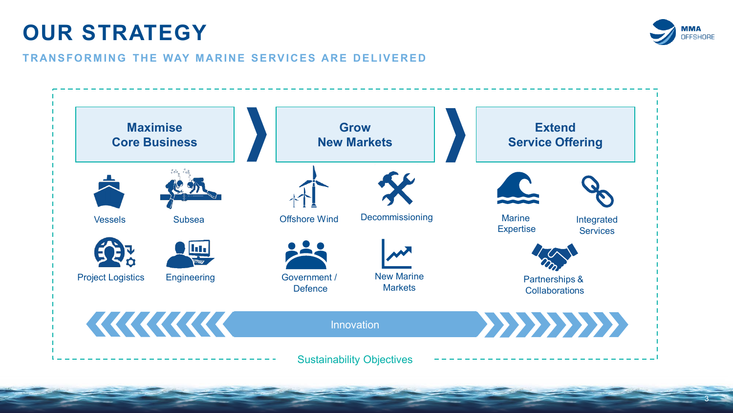# **OUR STRATEGY**



3

#### **TRANSFORMING THE WAY MARINE SERVICES ARE DELIVERED**

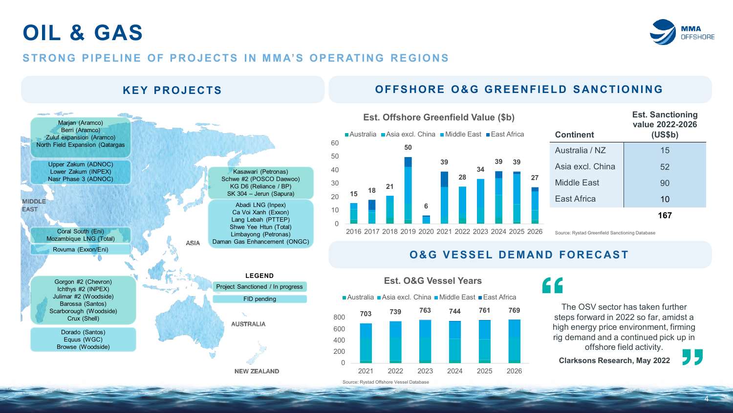### **OIL & GAS**



#### **STRONG PIPELINE OF PROJECTS IN MMA'S OPERATING REGIONS**

#### **KEY PROJECTS OFFSHORE O&G GREENFIELD SANCTIONING**





| <b>Continent</b> | <b>Est. Sanctioning</b><br>value 2022-2026<br>(US\$b) |
|------------------|-------------------------------------------------------|
| Australia / NZ   | 15                                                    |
| Asia excl. China | 52                                                    |
| Middle Fast      | 90                                                    |
| East Africa      | 10                                                    |
|                  | 167                                                   |

Source: Rystad Greenfield Sanctioning Database

#### **O&G VESSEL DEMAND FORECAST**



### <u> 44</u>

The OSV sector has taken further steps forward in 2022 so far, amidst a high energy price environment, firming rig demand and a continued pick up in offshore field activity.

**Clarksons Research, May 2022**



4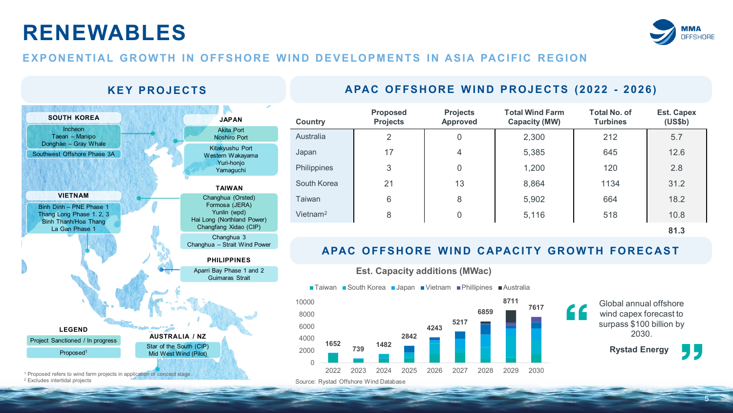# **RENEWABLES**



#### **EXPONENTIAL GROWTH IN OFFSHORE WIND DEVELOPMENTS IN ASIA PACIFIC REGION**

#### Changhua 3 Changhua – Strait Wind Power Star of the South (CIP) Mid West Wind (Pilot) **AUSTRALIA / NZ PHILIPPINES TAIWAN** Aparri Bay Phase 1 and 2 Guimaras Strait Changhua (Orsted) Formosa (JERA) Yunlin (wpd) Hai Long (Northland Power) Changfang Xidao (CIP) Binh Dinh – PNE Phase 1 Thang Long Phase 1. 2, 3 Binh Thanh/Hoa Thang La Gan Phase 1 **VIETNAM** Southwest Offshore Phase 3A Incheon Taean – Manipo Donghae – Gray Whale **SOUTH KOREA** Kitakyushu Port Western Wakayama Yuri-honjo Yamaguchi Akita Port Noshiro Port **JAPAN** Proposed1 Project Sanctioned / In progress **LEGEND**

<sup>1</sup> Proposed refers to wind farm projects in application or concept stage<br><sup>2</sup> Excludes intertidal projects

### **KEY PROJECTS APAC OFFSHORE WIND PROJECTS (2022 - 2026)**

| <b>Country</b>       | <b>Proposed</b><br><b>Projects</b> | <b>Projects</b><br>Approved | <b>Total Wind Farm</b><br><b>Capacity (MW)</b> | <b>Total No. of</b><br><b>Turbines</b> | <b>Est. Capex</b><br>(US\$b) |
|----------------------|------------------------------------|-----------------------------|------------------------------------------------|----------------------------------------|------------------------------|
| Australia            | 2                                  | 0                           | 2,300                                          | 212                                    | 5.7                          |
| Japan                | 17                                 | 4                           | 5,385                                          | 645                                    | 12.6                         |
| Philippines          | 3                                  | 0                           | 1,200                                          | 120                                    | 2.8                          |
| South Korea          | 21                                 | 13                          | 8,864                                          | 1134                                   | 31.2                         |
| <b>Taiwan</b>        | 6                                  | 8                           | 5,902                                          | 664                                    | 18.2                         |
| Vietnam <sup>2</sup> | 8                                  | 0                           | 5,116                                          | 518                                    | 10.8                         |
|                      |                                    |                             |                                                |                                        | 81.3                         |
|                      |                                    |                             |                                                |                                        |                              |

#### **APAC OFFSHORE WIND CAPACITY GROWTH FORECAST**

**Est. Capacity additions (MWac)**

■Taiwan ■South Korea ■Japan ■Vietnam ■Phillipines ■Australia



Global annual offshore wind capex forecast to surpass \$100 billion by 2030.

**Rystad Energy**

5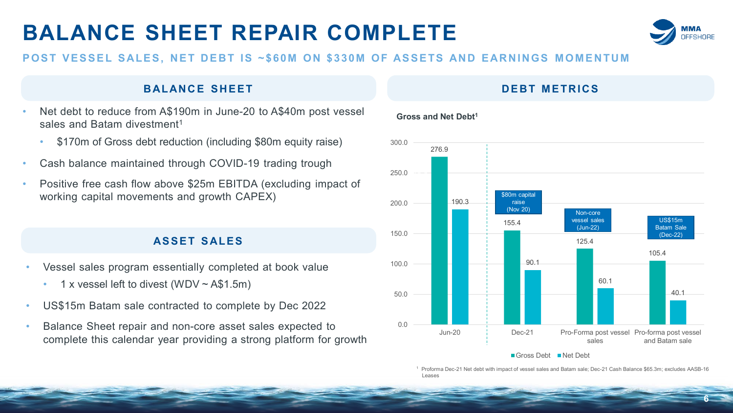# **BALANCE SHEET REPAIR COMPLETE**



**6**

#### **POST VESSEL SALES, NET DEBT IS ~\$60M ON \$330M OF ASSETS AND EARNINGS MOMENTUM**

#### **BALANCE SHEET DEBT METRICS**

- Net debt to reduce from A\$190m in June-20 to A\$40m post vessel sales and Batam divestment<sup>1</sup>
	- \$170m of Gross debt reduction (including \$80m equity raise)
- Cash balance maintained through COVID-19 trading trough
- Positive free cash flow above \$25m EBITDA (excluding impact of working capital movements and growth CAPEX)

#### **ASSET SALES**

- Vessel sales program essentially completed at book value
	- 1 x vessel left to divest (WDV  $\sim$  A\$1.5m)
- US\$15m Batam sale contracted to complete by Dec 2022
- Balance Sheet repair and non-core asset sales expected to complete this calendar year providing a strong platform for growth

#### 276.9 155.4 125.4 105.4 190.3 90.1 60.1 40.1 0.0 50.0 100.0 150.0 200.0 250.0 300.0 Jun-20 Dec-21 Pro-Forma post vessel Pro-forma post vessel sales and Batam sale  $\frac{1}{\sqrt{2}}$ \$80m capital raise (Nov 20) Non-core vessel sales (Jun-22) US\$15m Batam Sale (Dec-22)

#### Gross Debt Net Debt

<sup>1</sup> Proforma Dec-21 Net debt with impact of vessel sales and Batam sale; Dec-21 Cash Balance \$65.3m; excludes AASB-16 Leases

#### **Gross and Net Debt1**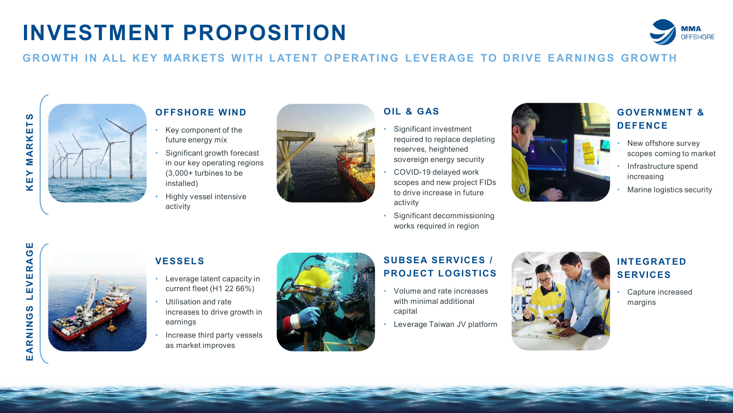# **INVESTMENT PROPOSITION**



#### **GROWTH IN ALL KEY MARKETS WITH LATENT OPERATING LEVERAGE TO DRIVE EARNINGS GROWTH**



### **OFFSHORE WIND**

- Key component of the future energy mix
- Significant growth forecast in our key operating regions (3,000+ turbines to be installed)
- Highly vessel intensive activity



#### **OIL & GAS**

- Significant investment required to replace depleting reserves, heightened sovereign energy security
- COVID-19 delayed work scopes and new project FIDs to drive increase in future activity
- Significant decommissioning works required in region



### **GOVERNMENT & DEFENCE**

- New offshore survey scopes coming to market
- Infrastructure spend increasing
- Marine logistics security



#### **VESSELS**

- Leverage latent capacity in current fleet (H1 22 66%)
- Utilisation and rate increases to drive growth in earnings
- Increase third party vessels as market improves



### **SUBSEA SERVICES / PROJECT LOGISTICS**

- Volume and rate increases with minimal additional capital
- Leverage Taiwan JV platform



#### **INTEGRATED SERVICES**

• Capture increased margins

7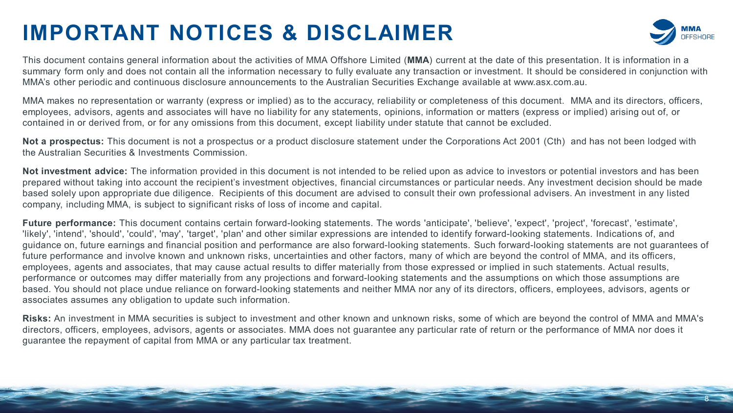# **IMPORTANT NOTICES & DISCLAIMER**



8

This document contains general information about the activities of MMA Offshore Limited (**MMA**) current at the date of this presentation. It is information in a summary form only and does not contain all the information necessary to fully evaluate any transaction or investment. It should be considered in conjunction with MMA's other periodic and continuous disclosure announcements to the Australian Securities Exchange available at www.asx.com.au.

MMA makes no representation or warranty (express or implied) as to the accuracy, reliability or completeness of this document. MMA and its directors, officers, employees, advisors, agents and associates will have no liability for any statements, opinions, information or matters (express or implied) arising out of, or contained in or derived from, or for any omissions from this document, except liability under statute that cannot be excluded.

**Not a prospectus:** This document is not a prospectus or a product disclosure statement under the Corporations Act 2001 (Cth) and has not been lodged with the Australian Securities & Investments Commission.

**Not investment advice:** The information provided in this document is not intended to be relied upon as advice to investors or potential investors and has been prepared without taking into account the recipient's investment objectives, financial circumstances or particular needs. Any investment decision should be made based solely upon appropriate due diligence. Recipients of this document are advised to consult their own professional advisers. An investment in any listed company, including MMA, is subject to significant risks of loss of income and capital.

Future performance: This document contains certain forward-looking statements. The words 'anticipate', 'believe', 'expect', 'project', 'forecast', 'estimate', 'likely', 'intend', 'should', 'could', 'may', 'target', 'plan' and other similar expressions are intended to identify forward-looking statements. Indications of, and guidance on, future earnings and financial position and performance are also forward-looking statements. Such forward-looking statements are not guarantees of future performance and involve known and unknown risks, uncertainties and other factors, many of which are beyond the control of MMA, and its officers, employees, agents and associates, that may cause actual results to differ materially from those expressed or implied in such statements. Actual results, performance or outcomes may differ materially from any projections and forward-looking statements and the assumptions on which those assumptions are based. You should not place undue reliance on forward-looking statements and neither MMA nor any of its directors, officers, employees, advisors, agents or associates assumes any obligation to update such information.

**Risks:** An investment in MMA securities is subject to investment and other known and unknown risks, some of which are beyond the control of MMA and MMA's directors, officers, employees, advisors, agents or associates. MMA does not guarantee any particular rate of return or the performance of MMA nor does it guarantee the repayment of capital from MMA or any particular tax treatment.